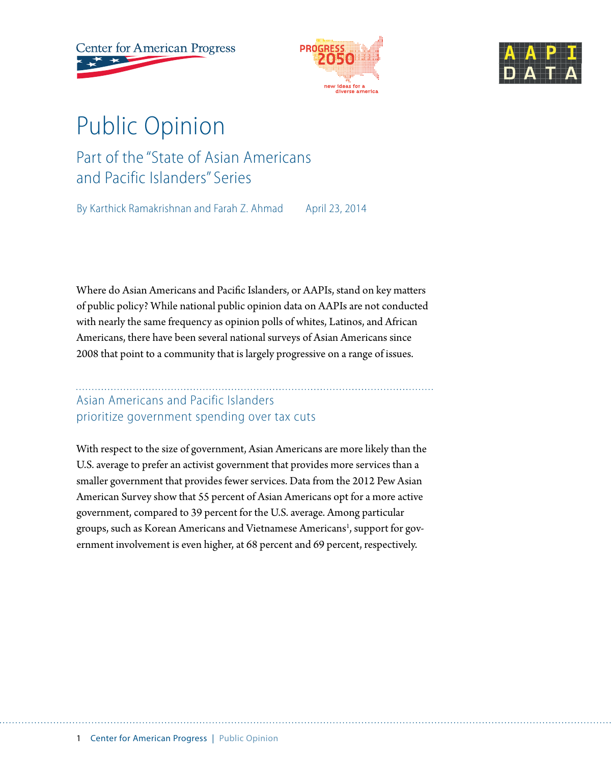**Center for American Progress** 





# Public Opinion Part of the "State of Asian Americans and Pacific Islanders" Series

By Karthick Ramakrishnan and Farah Z. Ahmad April 23, 2014

Where do Asian Americans and Pacific Islanders, or AAPIs, stand on key matters of public policy? While national public opinion data on AAPIs are not conducted with nearly the same frequency as opinion polls of whites, Latinos, and African Americans, there have been several national surveys of Asian Americans since 2008 that point to a community that is largely progressive on a range of issues.

## Asian Americans and Pacific Islanders prioritize government spending over tax cuts

With respect to the size of government, Asian Americans are more likely than the U.S. average to prefer an activist government that provides more services than a smaller government that provides fewer services. Data from the 2012 Pew Asian American Survey show that 55 percent of Asian Americans opt for a more active government, compared to 39 percent for the U.S. average. Among particular groups, such as Korean Americans and Vietnamese Americans<sup>1</sup>, support for government involvement is even higher, at 68 percent and 69 percent, respectively.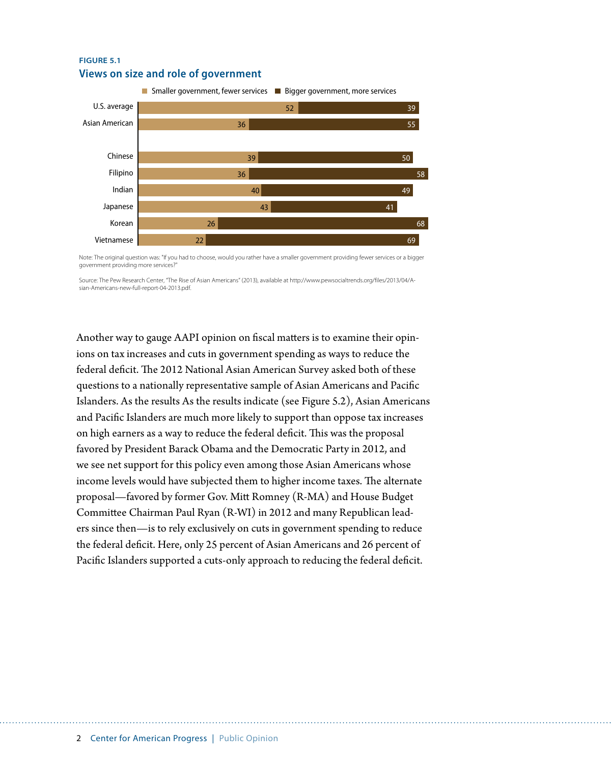#### **FIGURE 5.1 Views on size and role of government**



Note: The original question was: "If you had to choose, would you rather have a smaller government providing fewer services or a bigger government providing more services?"

Source: The Pew Research Center, "The Rise of Asian Americans" (2013), available at http://www.pewsocialtrends.org/files/2013/04/Asian-Americans-new-full-report-04-2013.pdf.

Another way to gauge AAPI opinion on fiscal matters is to examine their opinions on tax increases and cuts in government spending as ways to reduce the federal deficit. The 2012 National Asian American Survey asked both of these questions to a nationally representative sample of Asian Americans and Pacific Islanders. As the results As the results indicate (see Figure 5.2), Asian Americans and Pacific Islanders are much more likely to support than oppose tax increases on high earners as a way to reduce the federal deficit. This was the proposal favored by President Barack Obama and the Democratic Party in 2012, and we see net support for this policy even among those Asian Americans whose income levels would have subjected them to higher income taxes. The alternate proposal—favored by former Gov. Mitt Romney (R-MA) and House Budget Committee Chairman Paul Ryan (R-WI) in 2012 and many Republican leaders since then—is to rely exclusively on cuts in government spending to reduce the federal deficit. Here, only 25 percent of Asian Americans and 26 percent of Pacific Islanders supported a cuts-only approach to reducing the federal deficit.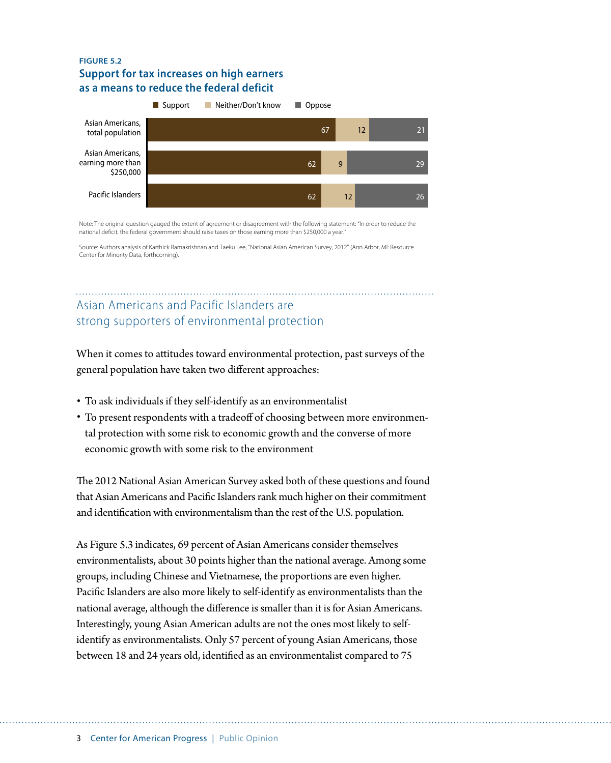#### **FIGURE 5.2 Support for tax increases on high earners as a means to reduce the federal deficit**



Note: The original question gauged the extent of agreement or disagreement with the following statement: "In order to reduce the national deficit, the federal government should raise taxes on those earning more than \$250,000 a year."

Source: Authors analysis of Karthick Ramakrishnan and Taeku Lee, "National Asian American Survey, 2012" (Ann Arbor, MI: Resource Center for Minority Data, forthcoming).

## Asian Americans and Pacific Islanders are strong supporters of environmental protection

When it comes to attitudes toward environmental protection, past surveys of the general population have taken two different approaches:

- To ask individuals if they self-identify as an environmentalist
- To present respondents with a tradeoff of choosing between more environmental protection with some risk to economic growth and the converse of more economic growth with some risk to the environment

The 2012 National Asian American Survey asked both of these questions and found that Asian Americans and Pacific Islanders rank much higher on their commitment and identification with environmentalism than the rest of the U.S. population.

As Figure 5.3 indicates, 69 percent of Asian Americans consider themselves environmentalists, about 30 points higher than the national average. Among some groups, including Chinese and Vietnamese, the proportions are even higher. Pacific Islanders are also more likely to self-identify as environmentalists than the national average, although the difference is smaller than it is for Asian Americans. Interestingly, young Asian American adults are not the ones most likely to selfidentify as environmentalists. Only 57 percent of young Asian Americans, those between 18 and 24 years old, identified as an environmentalist compared to 75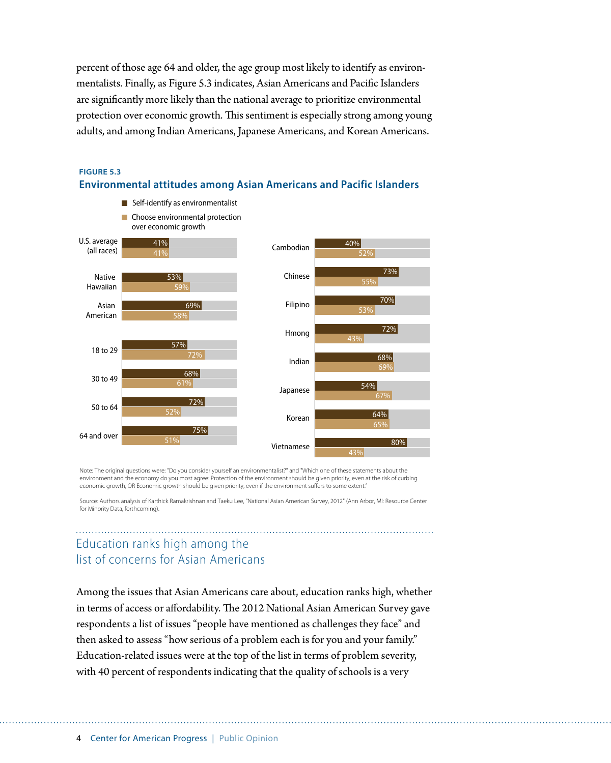percent of those age 64 and older, the age group most likely to identify as environmentalists. Finally, as Figure 5.3 indicates, Asian Americans and Pacific Islanders are significantly more likely than the national average to prioritize environmental protection over economic growth. This sentiment is especially strong among young adults, and among Indian Americans, Japanese Americans, and Korean Americans.



#### **FIGURE 5.3 Environmental attitudes among Asian Americans and Pacific Islanders**

Note: The original questions were: "Do you consider yourself an environmentalist?" and "Which one of these statements about the environment and the economy do you most agree: Protection of the environment should be given priority, even at the risk of curbing economic growth, OR Economic growth should be given priority, even if the environment suffers to some extent."

Source: Authors analysis of Karthick Ramakrishnan and Taeku Lee, "National Asian American Survey, 2012" (Ann Arbor, MI: Resource Center for Minority Data, forthcoming).

## Education ranks high among the list of concerns for Asian Americans

Among the issues that Asian Americans care about, education ranks high, whether in terms of access or affordability. The 2012 National Asian American Survey gave respondents a list of issues "people have mentioned as challenges they face" and then asked to assess "how serious of a problem each is for you and your family." Education-related issues were at the top of the list in terms of problem severity, with 40 percent of respondents indicating that the quality of schools is a very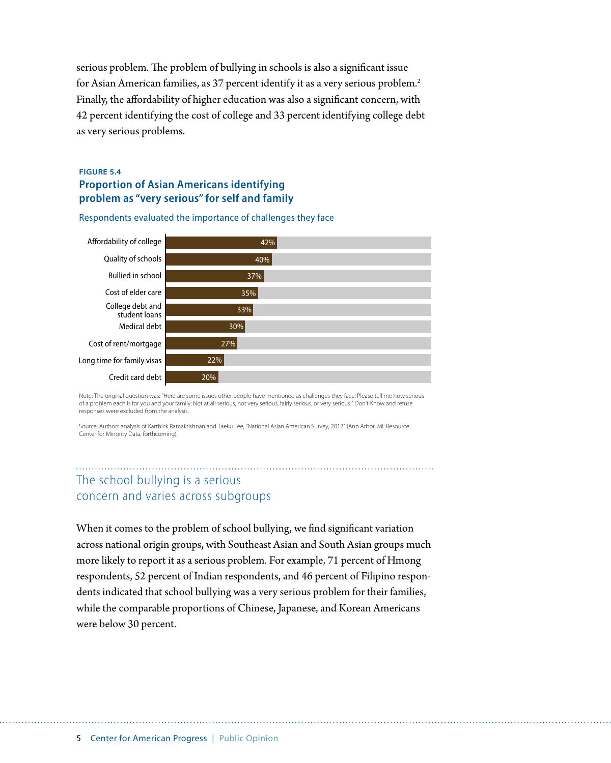serious problem. The problem of bullying in schools is also a significant issue for Asian American families, as 37 percent identify it as a very serious problem.<sup>2</sup> Finally, the affordability of higher education was also a significant concern, with 42 percent identifying the cost of college and 33 percent identifying college debt as very serious problems.

#### **FIGURE 5.4 Proportion of Asian Americans identifying problem as "very serious" for self and family**



Respondents evaluated the importance of challenges they face

Note: The original question was: "Here are some issues other people have mentioned as challenges they face. Please tell me how serious of a problem each is for you and your family: Not at all serious, not very serious, fairly serious, or very serious." Don't Know and refuse responses were excluded from the analysis.

Source: Authors analysis of Karthick Ramakrishnan and Taeku Lee, "National Asian American Survey, 2012" (Ann Arbor, MI: Resource Center for Minority Data, forthcoming).

## The school bullying is a serious concern and varies across subgroups

When it comes to the problem of school bullying, we find significant variation across national origin groups, with Southeast Asian and South Asian groups much more likely to report it as a serious problem. For example, 71 percent of Hmong respondents, 52 percent of Indian respondents, and 46 percent of Filipino respondents indicated that school bullying was a very serious problem for their families, while the comparable proportions of Chinese, Japanese, and Korean Americans were below 30 percent.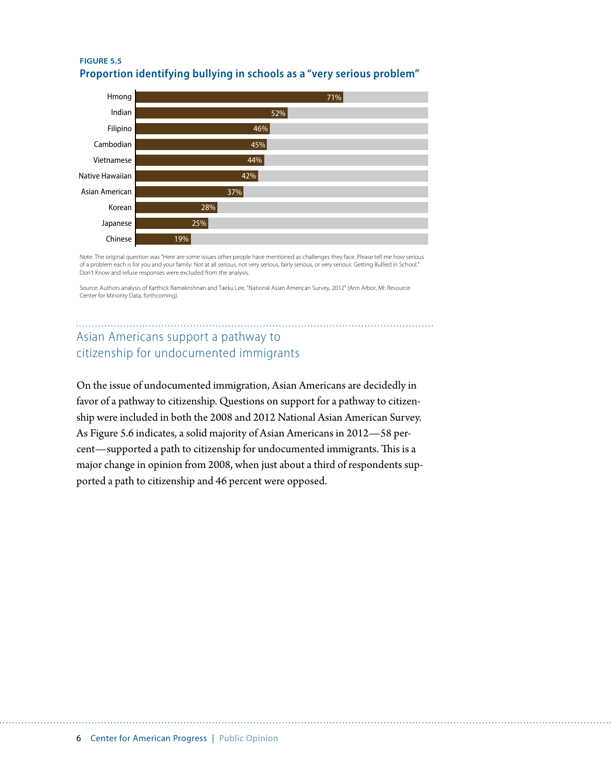



Note: The original question was "Here are some issues other people have mentioned as challenges they face. Please tell me how serious of a problem each is for you and your family: Not at all serious, not very serious, fairly serious, or very serious: Getting Bullied in School." Don't Know and refuse responses were excluded from the analysis.

Source: Authors analysis of Karthick Ramakrishnan and Taeku Lee, "National Asian American Survey, 2012" (Ann Arbor, MI: Resource Center for Minority Data, forthcoming).

## Asian Americans support a pathway to citizenship for undocumented immigrants

On the issue of undocumented immigration, Asian Americans are decidedly in favor of a pathway to citizenship. Questions on support for a pathway to citizenship were included in both the 2008 and 2012 National Asian American Survey. As Figure 5.6 indicates, a solid majority of Asian Americans in 2012—58 percent—supported a path to citizenship for undocumented immigrants. This is a major change in opinion from 2008, when just about a third of respondents supported a path to citizenship and 46 percent were opposed.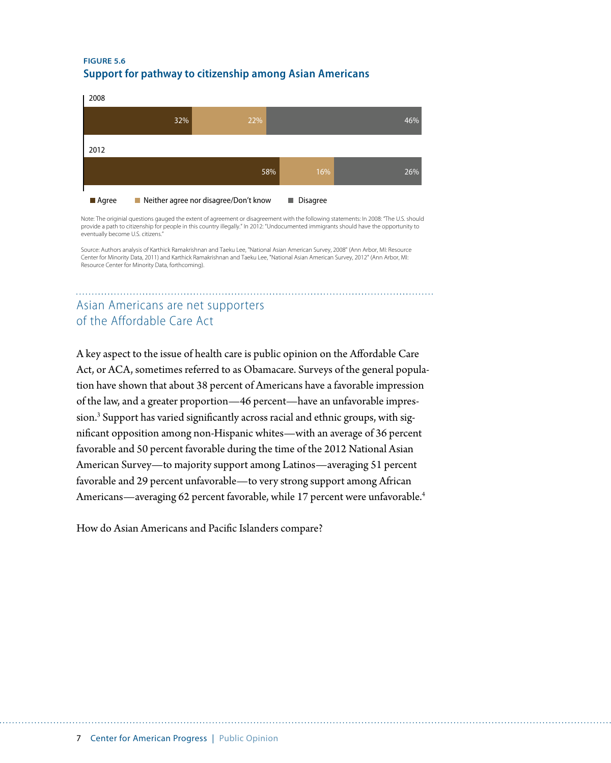#### **FIGURE 5.6 Support for pathway to citizenship among Asian Americans**

| 2008    |     |                                       |     |                      |     |
|---------|-----|---------------------------------------|-----|----------------------|-----|
|         | 32% | 22%                                   |     |                      | 46% |
| 2012    |     |                                       |     |                      |     |
|         |     |                                       | 58% | 16%                  | 26% |
| ■ Agree |     | Neither agree nor disagree/Don't know |     | <b>Disagree</b><br>п |     |

Note: The originial questions gauged the extent of agreement or disagreement with the following statements: In 2008: "The U.S. should provide a path to citizenship for people in this country illegally." In 2012: "Undocumented immigrants should have the opportunity to eventually become U.S. citizens."

Source: Authors analysis of Karthick Ramakrishnan and Taeku Lee, "National Asian American Survey, 2008" (Ann Arbor, MI: Resource Center for Minority Data, 2011) and Karthick Ramakrishnan and Taeku Lee, "National Asian American Survey, 2012" (Ann Arbor, MI: Resource Center for Minority Data, forthcoming).

## Asian Americans are net supporters of the Affordable Care Act

A key aspect to the issue of health care is public opinion on the Affordable Care Act, or ACA, sometimes referred to as Obamacare. Surveys of the general population have shown that about 38 percent of Americans have a favorable impression of the law, and a greater proportion—46 percent—have an unfavorable impres- $\sin$ .<sup>3</sup> Support has varied significantly across racial and ethnic groups, with significant opposition among non-Hispanic whites—with an average of 36 percent favorable and 50 percent favorable during the time of the 2012 National Asian American Survey—to majority support among Latinos—averaging 51 percent favorable and 29 percent unfavorable—to very strong support among African Americans—averaging 62 percent favorable, while 17 percent were unfavorable.<sup>4</sup>

How do Asian Americans and Pacific Islanders compare?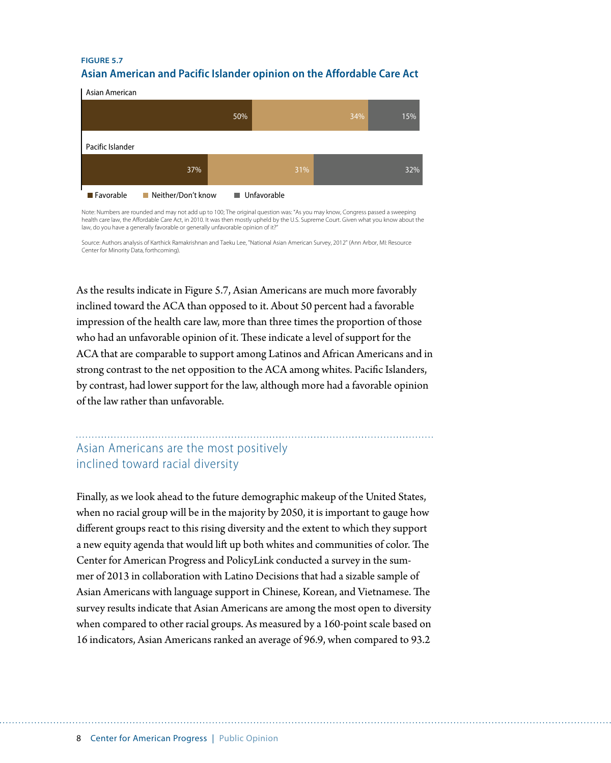#### **FIGURE 5.7 Asian American and Pacific Islander opinion on the Affordable Care Act**

Asian American

|                  |                    | 50%                |     | 34% | 15% |
|------------------|--------------------|--------------------|-----|-----|-----|
| Pacific Islander |                    |                    |     |     |     |
|                  | 37%                |                    | 31% |     | 32% |
| <b>Exercise</b>  | Neither/Don't know | <b>Unfavorable</b> |     |     |     |

Note: Numbers are rounded and may not add up to 100; The original question was: "As you may know, Congress passed a sweeping<br>health care law, the Affordable Care Act, in 2010. It was then mostly upheld by the U.S. Supreme law, do you have a generally favorable or generally unfavorable opinion of it?"

Source: Authors analysis of Karthick Ramakrishnan and Taeku Lee, "National Asian American Survey, 2012" (Ann Arbor, MI: Resource Center for Minority Data, forthcoming).

As the results indicate in Figure 5.7, Asian Americans are much more favorably inclined toward the ACA than opposed to it. About 50 percent had a favorable impression of the health care law, more than three times the proportion of those who had an unfavorable opinion of it. These indicate a level of support for the ACA that are comparable to support among Latinos and African Americans and in strong contrast to the net opposition to the ACA among whites. Pacific Islanders, by contrast, had lower support for the law, although more had a favorable opinion of the law rather than unfavorable.

## Asian Americans are the most positively inclined toward racial diversity

Finally, as we look ahead to the future demographic makeup of the United States, when no racial group will be in the majority by 2050, it is important to gauge how different groups react to this rising diversity and the extent to which they support a new equity agenda that would lift up both whites and communities of color. The Center for American Progress and PolicyLink conducted a survey in the summer of 2013 in collaboration with Latino Decisions that had a sizable sample of Asian Americans with language support in Chinese, Korean, and Vietnamese. The survey results indicate that Asian Americans are among the most open to diversity when compared to other racial groups. As measured by a 160-point scale based on 16 indicators, Asian Americans ranked an average of 96.9, when compared to 93.2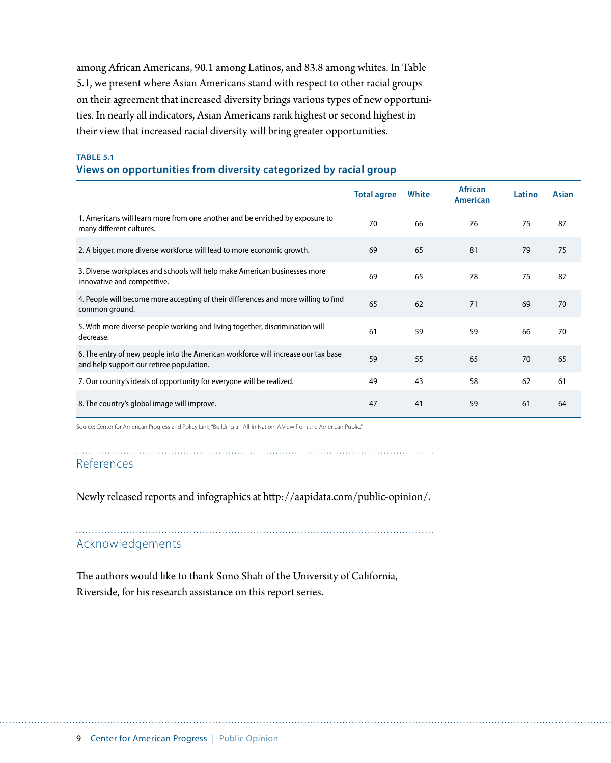among African Americans, 90.1 among Latinos, and 83.8 among whites. In Table 5.1, we present where Asian Americans stand with respect to other racial groups on their agreement that increased diversity brings various types of new opportunities. In nearly all indicators, Asian Americans rank highest or second highest in their view that increased racial diversity will bring greater opportunities.

#### **TABLE 5.1 Views on opportunities from diversity categorized by racial group**

|                                                                                                                               | <b>Total agree</b> | White | <b>African</b><br><b>American</b> | Latino | Asian |
|-------------------------------------------------------------------------------------------------------------------------------|--------------------|-------|-----------------------------------|--------|-------|
| 1. Americans will learn more from one another and be enriched by exposure to<br>many different cultures.                      | 70                 | 66    | 76                                | 75     | 87    |
| 2. A bigger, more diverse workforce will lead to more economic growth.                                                        | 69                 | 65    | 81                                | 79     | 75    |
| 3. Diverse workplaces and schools will help make American businesses more<br>innovative and competitive.                      | 69                 | 65    | 78                                | 75     | 82    |
| 4. People will become more accepting of their differences and more willing to find<br>common ground.                          | 65                 | 62    | 71                                | 69     | 70    |
| 5. With more diverse people working and living together, discrimination will<br>decrease.                                     | 61                 | 59    | 59                                | 66     | 70    |
| 6. The entry of new people into the American workforce will increase our tax base<br>and help support our retiree population. | 59                 | 55    | 65                                | 70     | 65    |
| 7. Our country's ideals of opportunity for everyone will be realized.                                                         | 49                 | 43    | 58                                | 62     | 61    |
| 8. The country's global image will improve.                                                                                   | 47                 | 41    | 59                                | 61     | 64    |

Source: Center for American Progress and Policy Link, "Building an All-In Nation: A View from the American Public."

References

Newly released reports and infographics at [http://](http://aapidata.com/opinion-participation/public-opinion/)aapidata.com/public-opinion/.

## Acknowledgements

The authors would like to thank Sono Shah of the University of California, Riverside, for his research assistance on this report series.